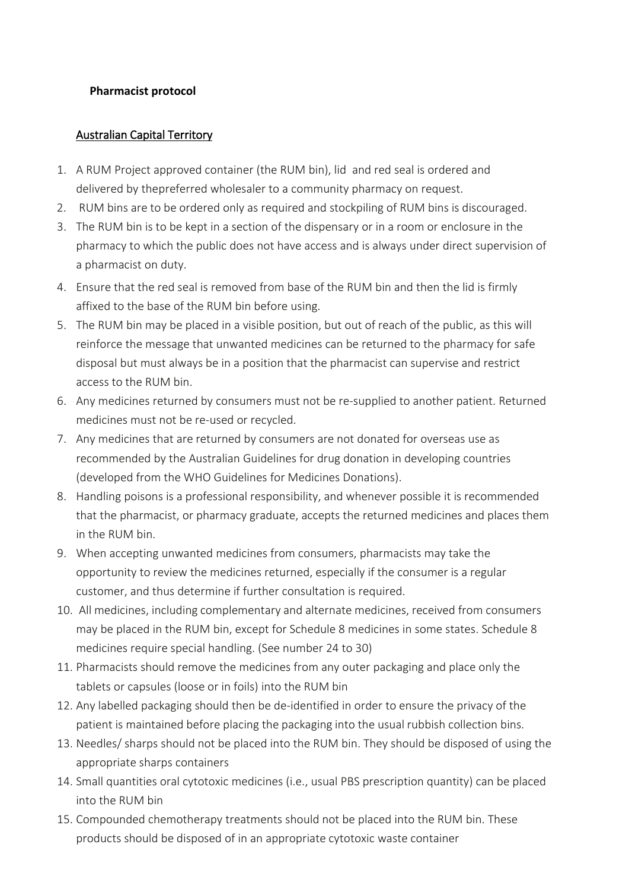## **Pharmacist protocol**

## Australian Capital Territory

- 1. A RUM Project approved container (the RUM bin), lid and red seal is ordered and delivered by thepreferred wholesaler to a community pharmacy on request.
- 2. RUM bins are to be ordered only as required and stockpiling of RUM bins is discouraged.
- 3. The RUM bin is to be kept in a section of the dispensary or in a room or enclosure in the pharmacy to which the public does not have access and is always under direct supervision of a pharmacist on duty.
- 4. Ensure that the red seal is removed from base of the RUM bin and then the lid is firmly affixed to the base of the RUM bin before using.
- 5. The RUM bin may be placed in a visible position, but out of reach of the public, as this will reinforce the message that unwanted medicines can be returned to the pharmacy for safe disposal but must always be in a position that the pharmacist can supervise and restrict access to the RUM bin.
- 6. Any medicines returned by consumers must not be re-supplied to another patient. Returned medicines must not be re-used or recycled.
- 7. Any medicines that are returned by consumers are not donated for overseas use as recommended by the Australian Guidelines for drug donation in developing countries (developed from the WHO Guidelines for Medicines Donations).
- 8. Handling poisons is a professional responsibility, and whenever possible it is recommended that the pharmacist, or pharmacy graduate, accepts the returned medicines and places them in the RUM bin.
- 9. When accepting unwanted medicines from consumers, pharmacists may take the opportunity to review the medicines returned, especially if the consumer is a regular customer, and thus determine if further consultation is required.
- 10. All medicines, including complementary and alternate medicines, received from consumers may be placed in the RUM bin, except for Schedule 8 medicines in some states. Schedule 8 medicines require special handling. (See number 24 to 30)
- 11. Pharmacists should remove the medicines from any outer packaging and place only the tablets or capsules (loose or in foils) into the RUM bin
- 12. Any labelled packaging should then be de-identified in order to ensure the privacy of the patient is maintained before placing the packaging into the usual rubbish collection bins.
- 13. Needles/ sharps should not be placed into the RUM bin. They should be disposed of using the appropriate sharps containers
- 14. Small quantities oral cytotoxic medicines (i.e., usual PBS prescription quantity) can be placed into the RUM bin
- 15. Compounded chemotherapy treatments should not be placed into the RUM bin. These products should be disposed of in an appropriate cytotoxic waste container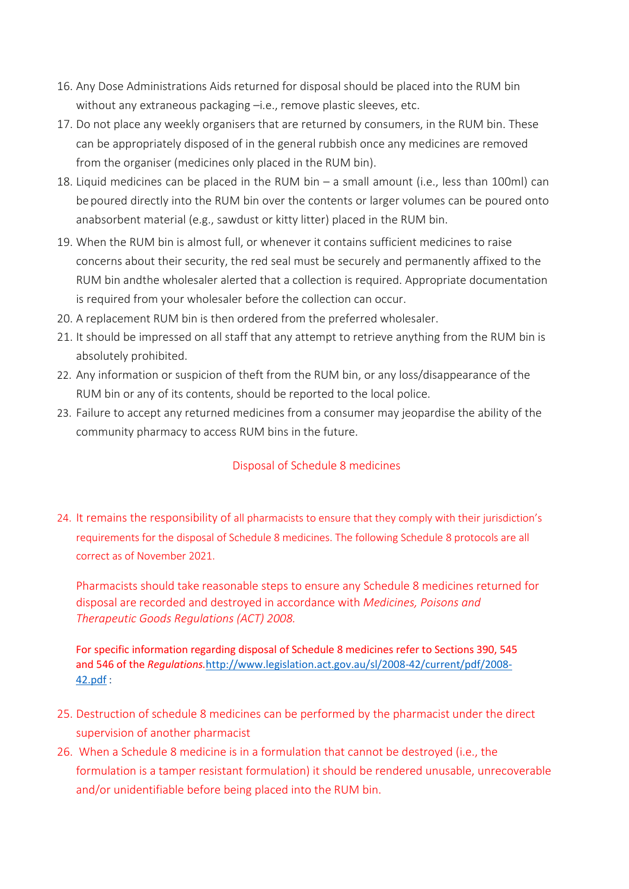- 16. Any Dose Administrations Aids returned for disposal should be placed into the RUM bin without any extraneous packaging –i.e., remove plastic sleeves, etc.
- 17. Do not place any weekly organisers that are returned by consumers, in the RUM bin. These can be appropriately disposed of in the general rubbish once any medicines are removed from the organiser (medicines only placed in the RUM bin).
- 18. Liquid medicines can be placed in the RUM bin a small amount (i.e., less than 100ml) can be poured directly into the RUM bin over the contents or larger volumes can be poured onto anabsorbent material (e.g., sawdust or kitty litter) placed in the RUM bin.
- 19. When the RUM bin is almost full, or whenever it contains sufficient medicines to raise concerns about their security, the red seal must be securely and permanently affixed to the RUM bin andthe wholesaler alerted that a collection is required. Appropriate documentation is required from your wholesaler before the collection can occur.
- 20. A replacement RUM bin is then ordered from the preferred wholesaler.
- 21. It should be impressed on all staff that any attempt to retrieve anything from the RUM bin is absolutely prohibited.
- 22. Any information or suspicion of theft from the RUM bin, or any loss/disappearance of the RUM bin or any of its contents, should be reported to the local police.
- 23. Failure to accept any returned medicines from a consumer may jeopardise the ability of the community pharmacy to access RUM bins in the future.

## Disposal of Schedule 8 medicines

24. It remains the responsibility of all pharmacists to ensure that they comply with their jurisdiction's requirements for the disposal of Schedule 8 medicines. The following Schedule 8 protocols are all correct as of November 2021.

Pharmacists should take reasonable steps to ensure any Schedule 8 medicines returned for disposal are recorded and destroyed in accordance with *Medicines, Poisons and Therapeutic Goods Regulations (ACT) 2008.*

For specific information regarding disposal of Schedule 8 medicines refer to Sections 390, 545 and 546 of the *Regulations.*[http://www.legislation.act.gov.au/sl/2008-42/current/pdf/2008-](http://www.legislation.act.gov.au/sl/2008-42/current/pdf/2008-42.pdf) [42.pdf](http://www.legislation.act.gov.au/sl/2008-42/current/pdf/2008-42.pdf) :

- 25. Destruction of schedule 8 medicines can be performed by the pharmacist under the direct supervision of another pharmacist
- 26. When a Schedule 8 medicine is in a formulation that cannot be destroyed (i.e., the formulation is a tamper resistant formulation) it should be rendered unusable, unrecoverable and/or unidentifiable before being placed into the RUM bin.